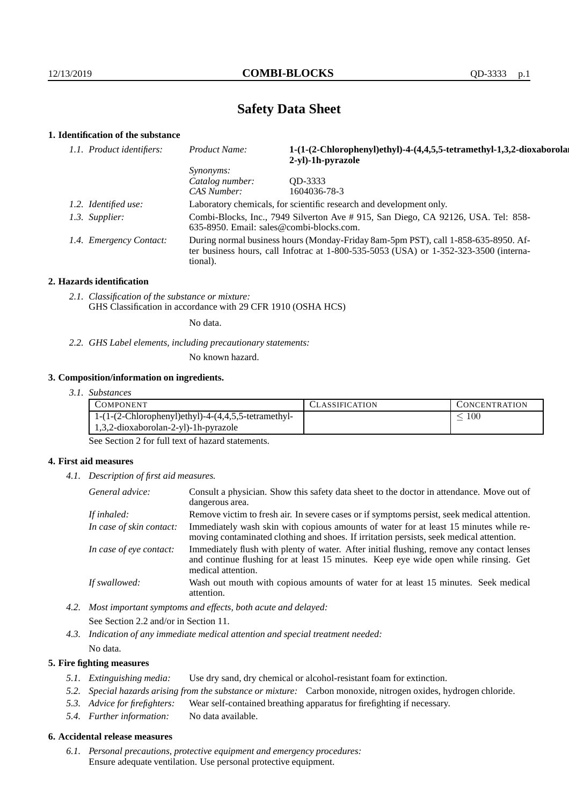# **Safety Data Sheet**

## **1. Identification of the substance**

| Product Name:                                                                                                                                                                           | 1-(1-(2-Chlorophenyl)ethyl)-4-(4,4,5,5-tetramethyl-1,3,2-dioxaborolar<br>2-yl)-1h-pyrazole |  |
|-----------------------------------------------------------------------------------------------------------------------------------------------------------------------------------------|--------------------------------------------------------------------------------------------|--|
| <i>Synonyms:</i>                                                                                                                                                                        |                                                                                            |  |
|                                                                                                                                                                                         | OD-3333                                                                                    |  |
|                                                                                                                                                                                         | 1604036-78-3                                                                               |  |
| Laboratory chemicals, for scientific research and development only.                                                                                                                     |                                                                                            |  |
| Combi-Blocks, Inc., 7949 Silverton Ave # 915, San Diego, CA 92126, USA. Tel: 858-<br>635-8950. Email: sales@combi-blocks.com.                                                           |                                                                                            |  |
| During normal business hours (Monday-Friday 8am-5pm PST), call 1-858-635-8950. Af-<br>ter business hours, call Infotrac at 1-800-535-5053 (USA) or 1-352-323-3500 (interna-<br>tional). |                                                                                            |  |
| 1.1. Product identifiers:<br>1.2. Identified use:<br>1.3. Supplier:<br>1.4. Emergency Contact:                                                                                          | Catalog number:<br>CAS Number:                                                             |  |

#### **2. Hazards identification**

*2.1. Classification of the substance or mixture:* GHS Classification in accordance with 29 CFR 1910 (OSHA HCS)

No data.

*2.2. GHS Label elements, including precautionary statements:*

No known hazard.

#### **3. Composition/information on ingredients.**

*3.1. Substances*

| COMPONENT                                             | LASSIFICATION | CONCENTRATION |
|-------------------------------------------------------|---------------|---------------|
| $1-(1-(2-Chlorophenyl)ethyl)-4-(4,4,5,5-tetramethyl-$ |               | 100           |
| $1,3,2$ -dioxaborolan-2-yl)-1h-pyrazole               |               |               |

See Section 2 for full text of hazard statements.

### **4. First aid measures**

*4.1. Description of first aid measures.*

| General advice:          | Consult a physician. Show this safety data sheet to the doctor in attendance. Move out of<br>dangerous area.                                                                                            |
|--------------------------|---------------------------------------------------------------------------------------------------------------------------------------------------------------------------------------------------------|
| If inhaled:              | Remove victim to fresh air. In severe cases or if symptoms persist, seek medical attention.                                                                                                             |
| In case of skin contact: | Immediately wash skin with copious amounts of water for at least 15 minutes while re-<br>moving contaminated clothing and shoes. If irritation persists, seek medical attention.                        |
| In case of eye contact:  | Immediately flush with plenty of water. After initial flushing, remove any contact lenses<br>and continue flushing for at least 15 minutes. Keep eye wide open while rinsing. Get<br>medical attention. |
| If swallowed:            | Wash out mouth with copious amounts of water for at least 15 minutes. Seek medical<br>attention.                                                                                                        |

*4.2. Most important symptoms and effects, both acute and delayed:* See Section 2.2 and/or in Section 11.

*4.3. Indication of any immediate medical attention and special treatment needed:* No data.

### **5. Fire fighting measures**

- *5.1. Extinguishing media:* Use dry sand, dry chemical or alcohol-resistant foam for extinction.
- *5.2. Special hazards arising from the substance or mixture:* Carbon monoxide, nitrogen oxides, hydrogen chloride.
- *5.3. Advice for firefighters:* Wear self-contained breathing apparatus for firefighting if necessary.
- *5.4. Further information:* No data available.

## **6. Accidental release measures**

*6.1. Personal precautions, protective equipment and emergency procedures:* Ensure adequate ventilation. Use personal protective equipment.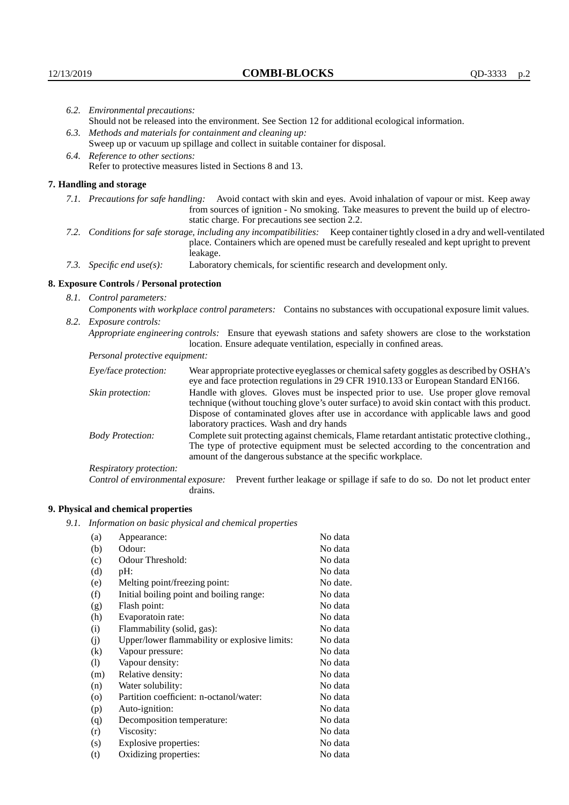| 6.2. Environmental precautions:                                                                                |                                                                                                                                                                                                                                                                                                                        |  |  |
|----------------------------------------------------------------------------------------------------------------|------------------------------------------------------------------------------------------------------------------------------------------------------------------------------------------------------------------------------------------------------------------------------------------------------------------------|--|--|
| Should not be released into the environment. See Section 12 for additional ecological information.             |                                                                                                                                                                                                                                                                                                                        |  |  |
| 6.3. Methods and materials for containment and cleaning up:                                                    |                                                                                                                                                                                                                                                                                                                        |  |  |
| Sweep up or vacuum up spillage and collect in suitable container for disposal.                                 |                                                                                                                                                                                                                                                                                                                        |  |  |
| 6.4. Reference to other sections:                                                                              |                                                                                                                                                                                                                                                                                                                        |  |  |
| Refer to protective measures listed in Sections 8 and 13.                                                      |                                                                                                                                                                                                                                                                                                                        |  |  |
| 7. Handling and storage                                                                                        |                                                                                                                                                                                                                                                                                                                        |  |  |
|                                                                                                                | 7.1. Precautions for safe handling: Avoid contact with skin and eyes. Avoid inhalation of vapour or mist. Keep away<br>from sources of ignition - No smoking. Take measures to prevent the build up of electro-<br>static charge. For precautions see section 2.2.                                                     |  |  |
|                                                                                                                | 7.2. Conditions for safe storage, including any incompatibilities: Keep container tightly closed in a dry and well-ventilated<br>place. Containers which are opened must be carefully resealed and kept upright to prevent<br>leakage.                                                                                 |  |  |
| 7.3. Specific end use(s):                                                                                      | Laboratory chemicals, for scientific research and development only.                                                                                                                                                                                                                                                    |  |  |
| 8. Exposure Controls / Personal protection                                                                     |                                                                                                                                                                                                                                                                                                                        |  |  |
| 8.1. Control parameters:                                                                                       |                                                                                                                                                                                                                                                                                                                        |  |  |
|                                                                                                                | Components with workplace control parameters: Contains no substances with occupational exposure limit values.                                                                                                                                                                                                          |  |  |
| 8.2. Exposure controls:                                                                                        |                                                                                                                                                                                                                                                                                                                        |  |  |
| Appropriate engineering controls: Ensure that eyewash stations and safety showers are close to the workstation |                                                                                                                                                                                                                                                                                                                        |  |  |
|                                                                                                                | location. Ensure adequate ventilation, especially in confined areas.                                                                                                                                                                                                                                                   |  |  |
| Personal protective equipment:                                                                                 |                                                                                                                                                                                                                                                                                                                        |  |  |
| Eye/face protection:                                                                                           | Wear appropriate protective eyeglasses or chemical safety goggles as described by OSHA's<br>eye and face protection regulations in 29 CFR 1910.133 or European Standard EN166.                                                                                                                                         |  |  |
| Skin protection:                                                                                               | Handle with gloves. Gloves must be inspected prior to use. Use proper glove removal<br>technique (without touching glove's outer surface) to avoid skin contact with this product.<br>Dispose of contaminated gloves after use in accordance with applicable laws and good<br>laboratory practices. Wash and dry hands |  |  |
| <b>Body Protection:</b>                                                                                        | Complete suit protecting against chemicals, Flame retardant antistatic protective clothing.,<br>The type of protective equipment must be selected according to the concentration and<br>amount of the dangerous substance at the specific workplace.                                                                   |  |  |
| Respiratory protection:                                                                                        |                                                                                                                                                                                                                                                                                                                        |  |  |

Respiratory protection:

Control of environmental exposure: Prevent further leakage or spillage if safe to do so. Do not let product enter drains.

# **9. Physical and chemical properties**

*9.1. Information on basic physical and chemical properties*

| (a)                        | Appearance:                                   | No data  |
|----------------------------|-----------------------------------------------|----------|
| (b)                        | Odour:                                        | No data  |
| (c)                        | Odour Threshold:                              | No data  |
| (d)                        | pH:                                           | No data  |
| (e)                        | Melting point/freezing point:                 | No date. |
| (f)                        | Initial boiling point and boiling range:      | No data  |
| (g)                        | Flash point:                                  | No data  |
| (h)                        | Evaporatoin rate:                             | No data  |
| (i)                        | Flammability (solid, gas):                    | No data  |
| (j)                        | Upper/lower flammability or explosive limits: | No data  |
| $\left( k\right)$          | Vapour pressure:                              | No data  |
| $\left( \mathrm{l}\right)$ | Vapour density:                               | No data  |
| (m)                        | Relative density:                             | No data  |
| (n)                        | Water solubility:                             | No data  |
| $\circ$                    | Partition coefficient: n-octanol/water:       | No data  |
| (p)                        | Auto-ignition:                                | No data  |
| (q)                        | Decomposition temperature:                    | No data  |
| (r)                        | Viscosity:                                    | No data  |
| (s)                        | Explosive properties:                         | No data  |
| (t)                        | Oxidizing properties:                         | No data  |